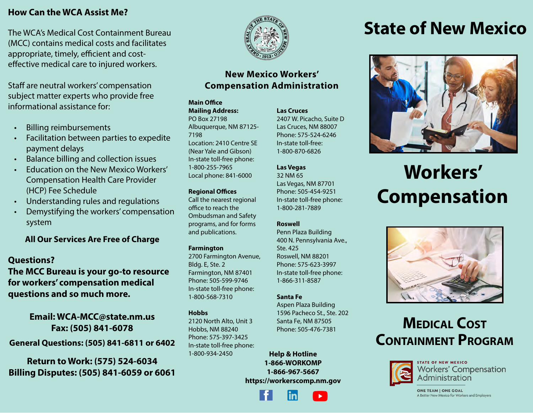### **How Can the WCA Assist Me?**

The WCA's Medical Cost Containment Bureau (MCC) contains medical costs and facilitates appropriate, timely, efficient and costeffective medical care to injured workers.

Staff are neutral workers' compensation subject matter experts who provide free informational assistance for:

- Billing reimbursements
- Facilitation between parties to expedite payment delays
- Balance billing and collection issues
- Education on the New Mexico Workers' Compensation Health Care Provider (HCP) Fee Schedule
- Understanding rules and regulations
- Demystifying the workers' compensation system

**All Our Services Are Free of Charge**

### **Questions?**

**The MCC Bureau is your go-to resource for workers' compensation medical questions and so much more.**

**Email: WCA-MCC@state.nm.us Fax: (505) 841-6078**

**General Questions: (505) 841-6811 or 6402**

**Return to Work: (575) 524-6034 Billing Disputes: (505) 841-6059 or 6061**



### **New Mexico Workers' Compensation Administration**

### **Main Office**

**Mailing Address:**  PO Box 27198 Albuquerque, NM 87125- 7198 Location: 2410 Centre SE (Near Yale and Gibson) In-state toll-free phone: 1-800-255-7965 Local phone: 841-6000

### **Regional Offices**

Call the nearest regional office to reach the Ombudsman and Safety programs, and for forms and publications.

### **Farmington**

2700 Farmington Avenue, Bldg. E, Ste. 2 Farmington, NM 87401 Phone: 505-599-9746 In-state toll-free phone: 1-800-568-7310

### **Hobbs**

2120 North Alto, Unit 3 Hobbs, NM 88240 Phone: 575-397-3425 In-state toll-free phone: 1-800-934-2450

### **Las Cruces** 2407 W. Picacho, Suite D Las Cruces, NM 88007 Phone: 575-524-6246

In-state toll-free: 1-800-870-6826

### **Las Vegas**

32 NM 65 Las Vegas, NM 87701 Phone: 505-454-9251 In-state toll-free phone: 1-800-281-7889

### **Roswell**

Penn Plaza Building 400 N. Pennsylvania Ave., Ste. 425 Roswell, NM 88201 Phone: 575-623-3997 In-state toll-free phone: 1-866-311-8587

### **Santa Fe**

Aspen Plaza Building 1596 Pacheco St., Ste. 202 Santa Fe, NM 87505 Phone: 505-476-7381

**Help & Hotline 1-866-WORKOMP 1-866-967-5667 https://workerscomp.nm.gov**

## **State of New Mexico**



# **Workers' Compensation**



## **Medical Cost Containment Program**



**STATE OF NEW MEXICO Workers' Compensation** Administration

**ONE TEAM | ONE GOAL** A Better New Mexico for Workers and Employers